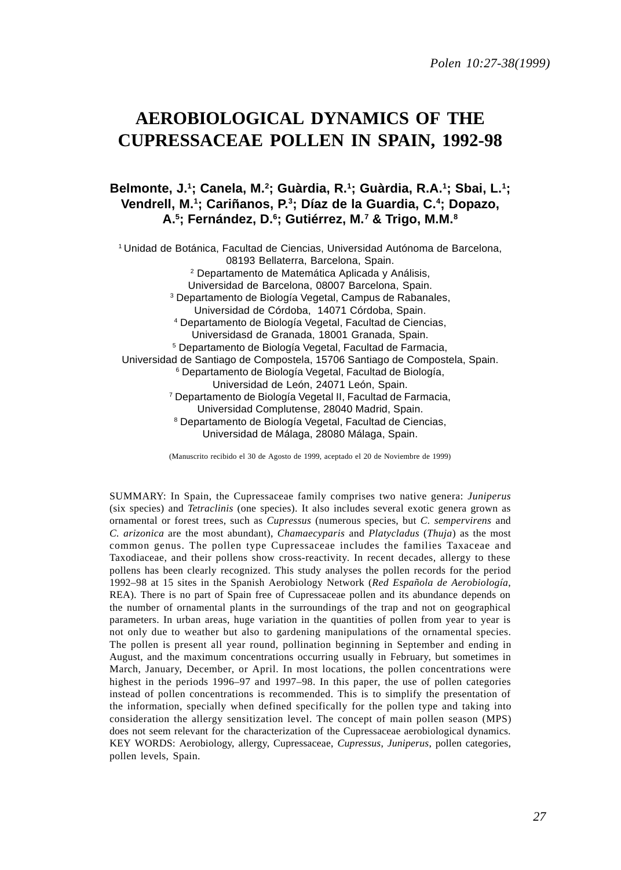*Polen 10:27-38(1999)*

# **AEROBIOLOGICAL DYNAMICS OF THE CUPRESSACEAE POLLEN IN SPAIN, 1992-98**

## Belmonte, J.<sup>1</sup>; Canela, M.<sup>2</sup>; Guàrdia, R.<sup>1</sup>; Guàrdia, R.A.<sup>1</sup>; Sbai, L.<sup>1</sup>; **Vendrell, M.1 ; Cariñanos, P.3 ; Díaz de la Guardia, C.4 ; Dopazo, A.5 ; Fernández, D.6 ; Gutiérrez, M.7 & Trigo, M.M.8**

1 Unidad de Botánica, Facultad de Ciencias, Universidad Autónoma de Barcelona, 08193 Bellaterra, Barcelona, Spain. 2 Departamento de Matemática Aplicada y Análisis, Universidad de Barcelona, 08007 Barcelona, Spain. 3 Departamento de Biología Vegetal, Campus de Rabanales, Universidad de Córdoba, 14071 Córdoba, Spain. 4 Departamento de Biología Vegetal, Facultad de Ciencias, Universidasd de Granada, 18001 Granada, Spain. 5 Departamento de Biología Vegetal, Facultad de Farmacia, Universidad de Santiago de Compostela, 15706 Santiago de Compostela, Spain. 6 Departamento de Biología Vegetal, Facultad de Biología, Universidad de León, 24071 León, Spain. 7 Departamento de Biología Vegetal II, Facultad de Farmacia, Universidad Complutense, 28040 Madrid, Spain. 8 Departamento de Biología Vegetal, Facultad de Ciencias, Universidad de Málaga, 28080 Málaga, Spain.

(Manuscrito recibido el 30 de Agosto de 1999, aceptado el 20 de Noviembre de 1999)

SUMMARY: In Spain, the Cupressaceae family comprises two native genera: *Juniperus* (six species) and *Tetraclinis* (one species). It also includes several exotic genera grown as ornamental or forest trees, such as *Cupressus* (numerous species, but *C. sempervirens* and *C. arizonica* are the most abundant), *Chamaecyparis* and *Platycladus* (*Thuja*) as the most common genus. The pollen type Cupressaceae includes the families Taxaceae and Taxodiaceae, and their pollens show cross-reactivity. In recent decades, allergy to these pollens has been clearly recognized. This study analyses the pollen records for the period 1992–98 at 15 sites in the Spanish Aerobiology Network (*Red Española de Aerobiología*, REA). There is no part of Spain free of Cupressaceae pollen and its abundance depends on the number of ornamental plants in the surroundings of the trap and not on geographical parameters. In urban areas, huge variation in the quantities of pollen from year to year is not only due to weather but also to gardening manipulations of the ornamental species. The pollen is present all year round, pollination beginning in September and ending in August, and the maximum concentrations occurring usually in February, but sometimes in March, January, December, or April. In most locations, the pollen concentrations were highest in the periods 1996–97 and 1997–98. In this paper, the use of pollen categories instead of pollen concentrations is recommended. This is to simplify the presentation of the information, specially when defined specifically for the pollen type and taking into consideration the allergy sensitization level. The concept of main pollen season (MPS) does not seem relevant for the characterization of the Cupressaceae aerobiological dynamics. KEY WORDS: Aerobiology, allergy, Cupressaceae, *Cupressus*, *Juniperus*, pollen categories, pollen levels, Spain.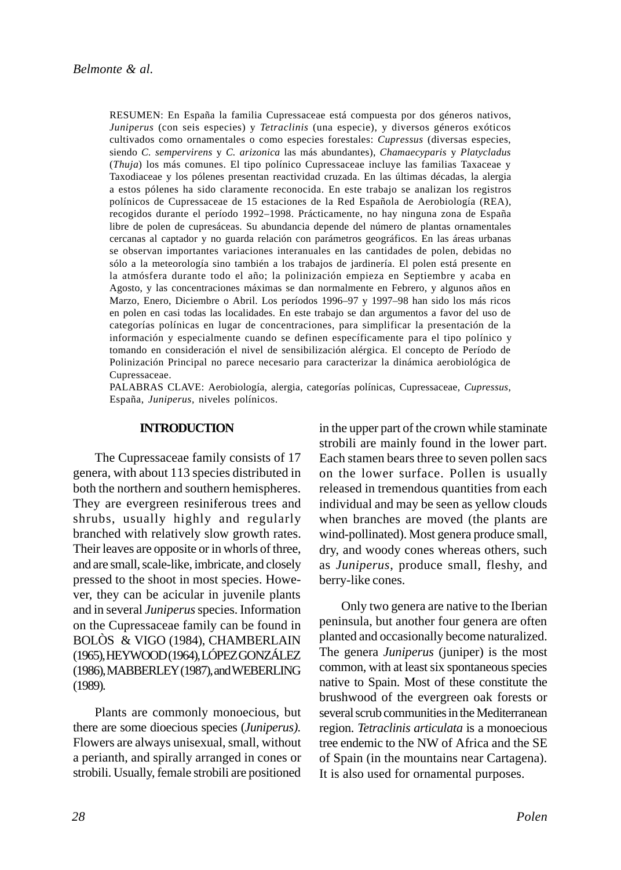RESUMEN: En España la familia Cupressaceae está compuesta por dos géneros nativos, *Juniperus* (con seis especies) y *Tetraclinis* (una especie), y diversos géneros exóticos cultivados como ornamentales o como especies forestales: *Cupressus* (diversas especies, siendo *C. sempervirens* y *C. arizonica* las más abundantes), *Chamaecyparis* y *Platycladus* (*Thuja*) los más comunes. El tipo polínico Cupressaceae incluye las familias Taxaceae y Taxodiaceae y los pólenes presentan reactividad cruzada. En las últimas décadas, la alergia a estos pólenes ha sido claramente reconocida. En este trabajo se analizan los registros polínicos de Cupressaceae de 15 estaciones de la Red Española de Aerobiología (REA), recogidos durante el período 1992–1998. Prácticamente, no hay ninguna zona de España libre de polen de cupresáceas. Su abundancia depende del número de plantas ornamentales cercanas al captador y no guarda relación con parámetros geográficos. En las áreas urbanas se observan importantes variaciones interanuales en las cantidades de polen, debidas no sólo a la meteorología sino también a los trabajos de jardinería. El polen está presente en la atmósfera durante todo el año; la polinización empieza en Septiembre y acaba en Agosto, y las concentraciones máximas se dan normalmente en Febrero, y algunos años en Marzo, Enero, Diciembre o Abril. Los períodos 1996–97 y 1997–98 han sido los más ricos en polen en casi todas las localidades. En este trabajo se dan argumentos a favor del uso de categorías polínicas en lugar de concentraciones, para simplificar la presentación de la información y especialmente cuando se definen específicamente para el tipo polínico y tomando en consideración el nivel de sensibilización alérgica. El concepto de Período de Polinización Principal no parece necesario para caracterizar la dinámica aerobiológica de Cupressaceae.

PALABRAS CLAVE: Aerobiología, alergia, categorías polínicas, Cupressaceae, *Cupressus*, España, *Juniperus,* niveles polínicos.

#### **INTRODUCTION**

The Cupressaceae family consists of 17 genera, with about 113 species distributed in both the northern and southern hemispheres. They are evergreen resiniferous trees and shrubs, usually highly and regularly branched with relatively slow growth rates. Their leaves are opposite or in whorls of three, and are small, scale-like, imbricate, and closely pressed to the shoot in most species. However, they can be acicular in juvenile plants and in several *Juniperus* species. Information on the Cupressaceae family can be found in BOLÒS & VIGO (1984), CHAMBERLAIN (1965), HEYWOOD (1964), LÓPEZ GONZÁLEZ (1986), MABBERLEY (1987), and WEBERLING (1989).

Plants are commonly monoecious, but there are some dioecious species (*Juniperus).* Flowers are always unisexual, small, without a perianth, and spirally arranged in cones or strobili. Usually, female strobili are positioned in the upper part of the crown while staminate strobili are mainly found in the lower part. Each stamen bears three to seven pollen sacs on the lower surface. Pollen is usually released in tremendous quantities from each individual and may be seen as yellow clouds when branches are moved (the plants are wind-pollinated). Most genera produce small, dry, and woody cones whereas others, such as *Juniperus*, produce small, fleshy, and berry-like cones.

Only two genera are native to the Iberian peninsula, but another four genera are often planted and occasionally become naturalized. The genera *Juniperus* (juniper) is the most common, with at least six spontaneous species native to Spain. Most of these constitute the brushwood of the evergreen oak forests or several scrub communities in the Mediterranean region. *Tetraclinis articulata* is a monoecious tree endemic to the NW of Africa and the SE of Spain (in the mountains near Cartagena). It is also used for ornamental purposes.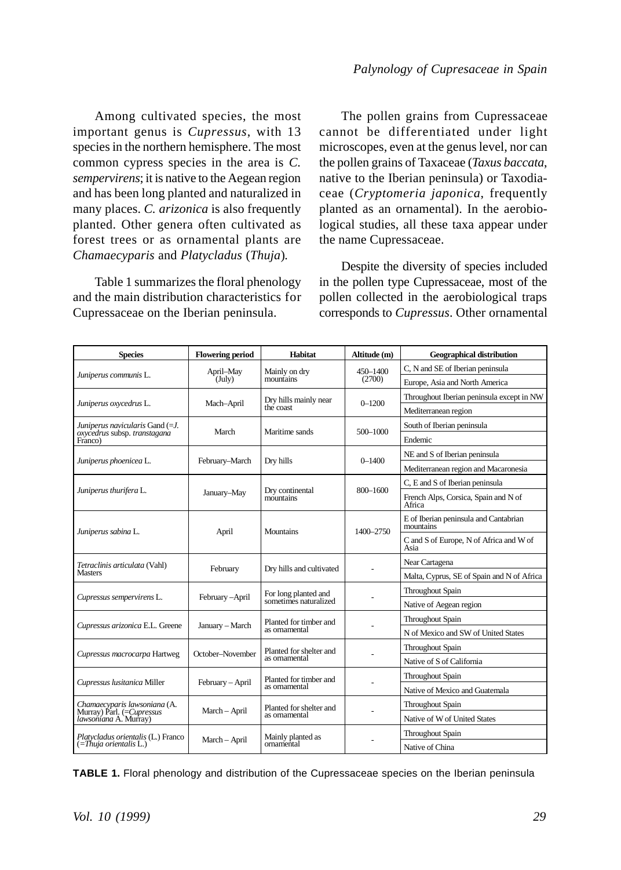Among cultivated species, the most important genus is *Cupressus*, with 13 species in the northern hemisphere. The most common cypress species in the area is *C. sempervirens*; it is native to the Aegean region and has been long planted and naturalized in many places. *C. arizonica* is also frequently planted. Other genera often cultivated as forest trees or as ornamental plants are *Chamaecyparis* and *Platycladus* (*Thuja*)*.*

Table 1 summarizes the floral phenology and the main distribution characteristics for Cupressaceae on the Iberian peninsula.

The pollen grains from Cupressaceae cannot be differentiated under light microscopes, even at the genus level, nor can the pollen grains of Taxaceae (*Taxus baccata*, native to the Iberian peninsula) or Taxodiaceae (*Cryptomeria japonica*, frequently planted as an ornamental). In the aerobiological studies, all these taxa appear under the name Cupressaceae.

Despite the diversity of species included in the pollen type Cupressaceae, most of the pollen collected in the aerobiological traps corresponds to *Cupressus*. Other ornamental

| <b>Species</b>                                     | <b>Flowering period</b> | Habitat                      | Altitude (m) | <b>Geographical distribution</b>                   |  |
|----------------------------------------------------|-------------------------|------------------------------|--------------|----------------------------------------------------|--|
|                                                    | April-May               | Mainly on dry                | 450-1400     | C, N and SE of Iberian peninsula                   |  |
| Juniperus communis L.                              | (July)                  | mountains                    | (2700)       | Europe, Asia and North America                     |  |
| Juniperus oxycedrus L.                             | Mach-April              | Dry hills mainly near        | $0 - 1200$   | Throughout Iberian peninsula except in NW          |  |
|                                                    |                         | the coast                    |              | Mediterranean region                               |  |
| Juniperus navicularis Gand (= J.                   | March                   | Maritime sands               | $500 - 1000$ | South of Iberian peninsula                         |  |
| oxycedrus subsp. transtagana<br>Franco)            |                         |                              |              | Endemic                                            |  |
| Juniperus phoenicea L.                             | February-March          | Dry hills                    | $0 - 1400$   | NE and S of Iberian peninsula                      |  |
|                                                    |                         |                              |              | Mediterranean region and Macaronesia               |  |
|                                                    |                         |                              |              | C. E and S of Iberian peninsula                    |  |
| Juniperus thurifera L.                             | January-May             | Dry continental<br>mountains | $800 - 1600$ | French Alps, Corsica, Spain and N of<br>Africa     |  |
| Juniperus sabina L.                                | April                   | Mountains                    | 1400-2750    | E of Iberian peninsula and Cantabrian<br>mountains |  |
|                                                    |                         |                              |              | C and S of Europe, N of Africa and W of<br>Asia    |  |
| Tetraclinis articulata (Vahl)                      | February                | Dry hills and cultivated     |              | Near Cartagena                                     |  |
| Masters                                            |                         |                              |              | Malta, Cyprus, SE of Spain and N of Africa         |  |
| Cupressus sempervirens L.                          | February-April          | For long planted and         |              | Throughout Spain                                   |  |
|                                                    |                         | sometimes naturalized        |              | Native of Aegean region                            |  |
| Cupressus arizonica E.L. Greene                    | January - March         | Planted for timber and       |              | Throughout Spain                                   |  |
|                                                    |                         | as ornamental                |              | N of Mexico and SW of United States                |  |
| Cupressus macrocarpa Hartweg                       | October-November        | Planted for shelter and      |              | Throughout Spain                                   |  |
|                                                    |                         | as omamental                 |              | Native of S of California                          |  |
| Cupressus lusitanica Miller                        | February - April        | Planted for timber and       |              | Throughout Spain                                   |  |
|                                                    |                         | as ornamental                |              | Native of Mexico and Guatemala                     |  |
| Chamaecyparis lawsoniana (A.                       | March - April           | Planted for shelter and      |              | Throughout Spain                                   |  |
| Murray) Parl. (=Cupressus<br>lawsoniana A. Murray) |                         | as ornamental                |              | Native of W of United States                       |  |
| Platycladus orientalis (L.) Franco                 |                         | Mainly planted as            |              | Throughout Spain                                   |  |
| $(=\text{Thuja orientalis } L.)$                   | March - April           | ornamental                   |              | Native of China                                    |  |

**TABLE 1.** Floral phenology and distribution of the Cupressaceae species on the Iberian peninsula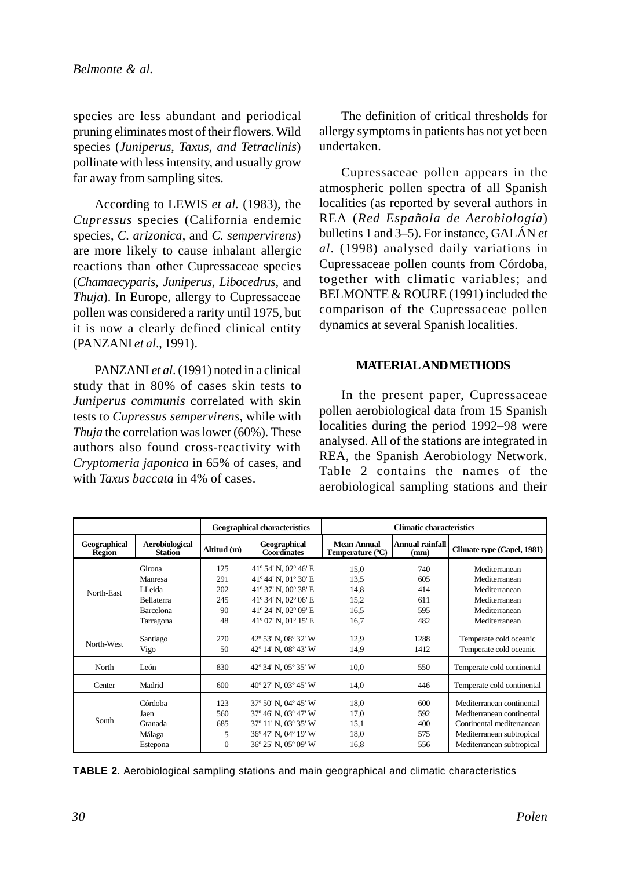species are less abundant and periodical pruning eliminates most of their flowers. Wild species (*Juniperus*, *Taxus, and Tetraclinis*) pollinate with less intensity, and usually grow far away from sampling sites.

According to LEWIS *et al.* (1983), the *Cupressus* species (California endemic species, *C. arizonica*, and *C. sempervirens*) are more likely to cause inhalant allergic reactions than other Cupressaceae species (*Chamaecyparis*, *Juniperus*, *Libocedrus,* and *Thuja*). In Europe, allergy to Cupressaceae pollen was considered a rarity until 1975, but it is now a clearly defined clinical entity (PANZANI *et al*., 1991).

PANZANI *et al*. (1991) noted in a clinical study that in 80% of cases skin tests to *Juniperus communis* correlated with skin tests to *Cupressus sempervirens*, while with *Thuja* the correlation was lower (60%). These authors also found cross-reactivity with *Cryptomeria japonica* in 65% of cases, and with *Taxus baccata* in 4% of cases.

The definition of critical thresholds for allergy symptoms in patients has not yet been undertaken.

Cupressaceae pollen appears in the atmospheric pollen spectra of all Spanish localities (as reported by several authors in REA (*Red Española de Aerobiología*) bulletins 1 and 3–5). For instance, GALÁN *et al*. (1998) analysed daily variations in Cupressaceae pollen counts from Córdoba, together with climatic variables; and BELMONTE & ROURE (1991) included the comparison of the Cupressaceae pollen dynamics at several Spanish localities.

## **MATERIAL AND METHODS**

In the present paper, Cupressaceae pollen aerobiological data from 15 Spanish localities during the period 1992–98 were analysed. All of the stations are integrated in REA, the Spanish Aerobiology Network. Table 2 contains the names of the aerobiological sampling stations and their

|                        |                                  |                                            | <b>Geographical characteristics</b> | <b>Climatic characteristics</b> |                         |                            |  |  |  |
|------------------------|----------------------------------|--------------------------------------------|-------------------------------------|---------------------------------|-------------------------|----------------------------|--|--|--|
| Geographical<br>Region | Aerobiological<br><b>Station</b> | Geographical<br>Altitud (m)<br>Coordinates |                                     | Mean Annual<br>Temperature (°C) | Annual rainfall<br>(mm) | Climate type (Capel, 1981) |  |  |  |
|                        | Girona                           | 125                                        | 41° 54' N, 02° 46' E                | 15.0                            | 740                     | Mediterranean              |  |  |  |
| North-East             | Manresa                          | 291                                        | 41° 44' N, 01° 30' E<br>13.5        |                                 | 605                     | Mediterranean              |  |  |  |
|                        | LL eida                          | 202                                        | 41° 37' N, 00° 38' E                | 14.8                            | 414                     | Mediterranean              |  |  |  |
|                        | <b>Bellaterra</b>                | 245                                        | 41° 34' N, 02° 06' E                | 15.2                            | 611                     | Mediterranean              |  |  |  |
|                        | Barcelona                        | 90                                         | 41° 24' N, 02° 09' E                | 16.5                            | 595                     | Mediterranean              |  |  |  |
|                        | Tarragona                        | 48                                         | 41° 07' N, 01° 15' E                | 16,7                            | 482                     | Mediterranean              |  |  |  |
| North-West             | Santiago                         | 270                                        | 42° 53' N, 08° 32' W                | 12.9                            | 1288                    | Temperate cold oceanic     |  |  |  |
|                        | Vigo                             | 50                                         | 42° 14' N, 08° 43' W                | 14,9                            | 1412                    | Temperate cold oceanic     |  |  |  |
| North                  | León                             | 830                                        | 42° 34' N, 05° 35' W                | 10,0                            | 550                     | Temperate cold continental |  |  |  |
| Center                 | Madrid                           | 600                                        | 40° 27' N, 03° 45' W                | 14.0                            | 446                     | Temperate cold continental |  |  |  |
| South                  | Córdoba                          | 123                                        | 37° 50' N, 04° 45' W                | 18.0                            | 600                     | Mediterranean continental  |  |  |  |
|                        | Jaen                             | 560                                        | 37° 46' N, 03° 47' W                | 17,0                            | 592                     | Mediterranean continental  |  |  |  |
|                        | Granada                          | 685                                        | 37° 11' N, 03° 35' W                | 15,1                            | 400                     | Continental mediterranean  |  |  |  |
|                        | Málaga                           | 5                                          | 36° 47' N, 04° 19' W                | 18.0                            | 575                     | Mediterranean subtropical  |  |  |  |
|                        | Estepona                         | $\Omega$                                   | 36° 25' N, 05° 09' W                | 16,8                            | 556                     | Mediterranean subtropical  |  |  |  |

**TABLE 2.** Aerobiological sampling stations and main geographical and climatic characteristics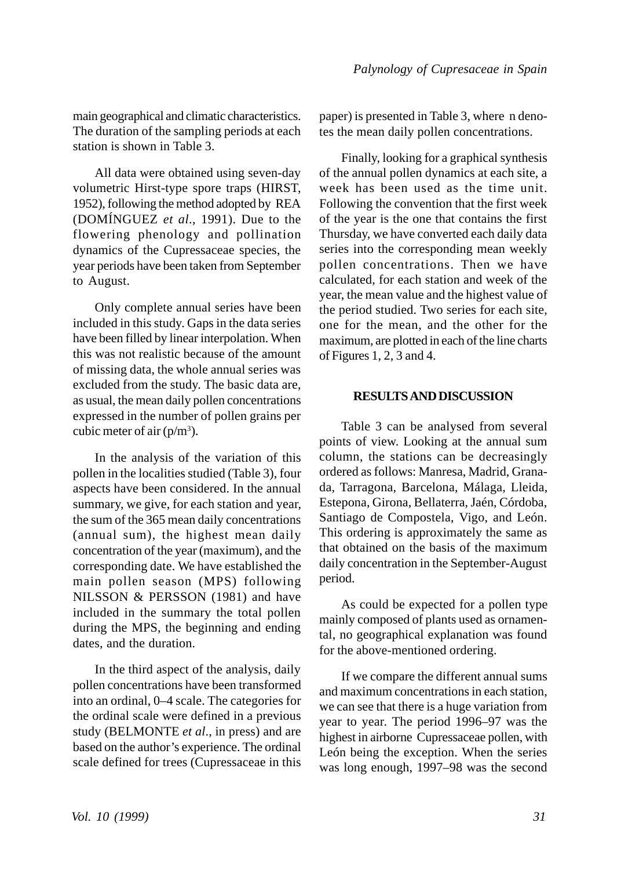main geographical and climatic characteristics. The duration of the sampling periods at each station is shown in Table 3.

All data were obtained using seven-day volumetric Hirst-type spore traps (HIRST, 1952), following the method adopted by REA (DOMÍNGUEZ *et al*., 1991). Due to the flowering phenology and pollination dynamics of the Cupressaceae species, the year periods have been taken from September to August.

Only complete annual series have been included in this study. Gaps in the data series have been filled by linear interpolation. When this was not realistic because of the amount of missing data, the whole annual series was excluded from the study. The basic data are, as usual, the mean daily pollen concentrations expressed in the number of pollen grains per cubic meter of air  $(p/m^3)$ .

In the analysis of the variation of this pollen in the localities studied (Table 3), four aspects have been considered. In the annual summary, we give, for each station and year, the sum of the 365 mean daily concentrations (annual sum), the highest mean daily concentration of the year (maximum), and the corresponding date. We have established the main pollen season (MPS) following NILSSON & PERSSON (1981) and have included in the summary the total pollen during the MPS, the beginning and ending dates, and the duration.

In the third aspect of the analysis, daily pollen concentrations have been transformed into an ordinal, 0–4 scale. The categories for the ordinal scale were defined in a previous study (BELMONTE *et al*., in press) and are based on the author's experience. The ordinal scale defined for trees (Cupressaceae in this paper) is presented in Table 3, where n denotes the mean daily pollen concentrations.

Finally, looking for a graphical synthesis of the annual pollen dynamics at each site, a week has been used as the time unit. Following the convention that the first week of the year is the one that contains the first Thursday, we have converted each daily data series into the corresponding mean weekly pollen concentrations. Then we have calculated, for each station and week of the year, the mean value and the highest value of the period studied. Two series for each site, one for the mean, and the other for the maximum, are plotted in each of the line charts of Figures 1, 2, 3 and 4.

## **RESULTS AND DISCUSSION**

Table 3 can be analysed from several points of view. Looking at the annual sum column, the stations can be decreasingly ordered as follows: Manresa, Madrid, Granada, Tarragona, Barcelona, Málaga, Lleida, Estepona, Girona, Bellaterra, Jaén, Córdoba, Santiago de Compostela, Vigo, and León. This ordering is approximately the same as that obtained on the basis of the maximum daily concentration in the September-August period.

As could be expected for a pollen type mainly composed of plants used as ornamental, no geographical explanation was found for the above-mentioned ordering.

If we compare the different annual sums and maximum concentrations in each station, we can see that there is a huge variation from year to year. The period 1996–97 was the highest in airborne Cupressaceae pollen, with León being the exception. When the series was long enough, 1997–98 was the second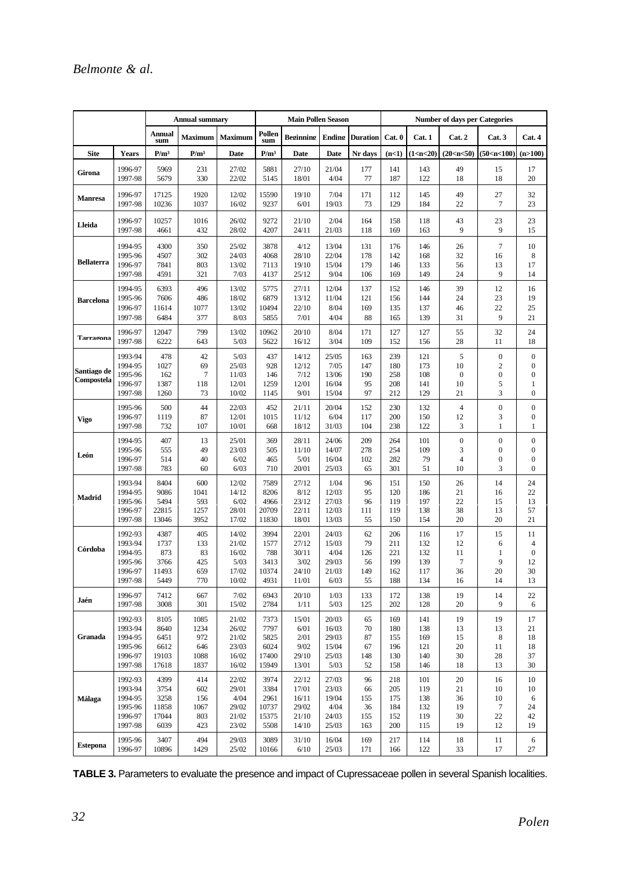|                           |                                                     | <b>Annual summary</b>              |                            |                                          | <b>Main Pollen Season</b>         |                                         |                                          |                               | <b>Number of days per Categories</b> |                                 |                                         |                                                                       |                                                                                   |  |
|---------------------------|-----------------------------------------------------|------------------------------------|----------------------------|------------------------------------------|-----------------------------------|-----------------------------------------|------------------------------------------|-------------------------------|--------------------------------------|---------------------------------|-----------------------------------------|-----------------------------------------------------------------------|-----------------------------------------------------------------------------------|--|
|                           |                                                     | Annual<br>sum                      | Maximum                    | Maximum                                  | Pollen<br>sum                     | Reginning                               | Ending                                   | Duration                      | Cat. 0                               | Cat. 1                          | Cat. 2                                  | Cat.3                                                                 | Cat. 4                                                                            |  |
| <b>Site</b>               | <b>Years</b>                                        | $P/m^3$                            | $P/m^3$                    | Date                                     | $P/m^3$                           | Date                                    | Date                                     | Nr days                       | (n<1)                                | (1 < n < 20)                    | (20 <sub>CD</sub> <50)                  | (50< n< 100)                                                          | (n>100)                                                                           |  |
| Girona                    | 1996-97                                             | 5969                               | 231                        | 27/02                                    | 5881                              | 27/10                                   | 21/04                                    | 177                           | 141                                  | 143                             | 49                                      | 15                                                                    | 17                                                                                |  |
|                           | 1997-98                                             | 5679                               | 330                        | 22/02                                    | 5145                              | 18/01                                   | 4/04                                     | 77                            | 187                                  | 122                             | 18                                      | 18                                                                    | 20                                                                                |  |
| <b>Manresa</b>            | 1996-97                                             | 17125                              | 1920                       | 12/02                                    | 15590                             | 19/10                                   | 7/04                                     | 171                           | 112                                  | 145                             | 49                                      | 27                                                                    | 32                                                                                |  |
|                           | 1997-98                                             | 10236                              | 1037                       | 16/02                                    | 9237                              | 6/01                                    | 19/03                                    | 73                            | 129                                  | 184                             | 22                                      | $\overline{7}$                                                        | 23                                                                                |  |
| Lleida                    | 1996-97                                             | 10257                              | 1016                       | 26/02                                    | 9272                              | 21/10                                   | 2/04                                     | 164                           | 158                                  | 118                             | 43                                      | 23                                                                    | 23                                                                                |  |
|                           | 1997-98                                             | 4661                               | 432                        | 28/02                                    | 4207                              | 24/11                                   | 21/03                                    | 118                           | 169                                  | 163                             | 9                                       | 9                                                                     | 15                                                                                |  |
| <b>Bellaterra</b>         | 1994-95                                             | 4300                               | 350                        | 25/02                                    | 3878                              | 4/12                                    | 13/04                                    | 131                           | 176                                  | 146                             | 26                                      | $\tau$                                                                | 10                                                                                |  |
|                           | 1995-96                                             | 4507                               | 302                        | 24/03                                    | 4068                              | 28/10                                   | 22/04                                    | 178                           | 142                                  | 168                             | 32                                      | 16                                                                    | 8                                                                                 |  |
|                           | 1996-97                                             | 7841                               | 803                        | 13/02                                    | 7113                              | 19/10                                   | 15/04                                    | 179                           | 146                                  | 133                             | 56                                      | 13                                                                    | 17                                                                                |  |
|                           | 1997-98                                             | 4591                               | 321                        | 7/03                                     | 4137                              | 25/12                                   | 9/04                                     | 106                           | 169                                  | 149                             | 24                                      | 9                                                                     | 14                                                                                |  |
| <b>Barcelona</b>          | 1994-95                                             | 6393                               | 496                        | 13/02                                    | 5775                              | 27/11                                   | 12/04                                    | 137                           | 152                                  | 146                             | 39                                      | 12                                                                    | 16                                                                                |  |
|                           | 1995-96                                             | 7606                               | 486                        | 18/02                                    | 6879                              | 13/12                                   | 11/04                                    | 121                           | 156                                  | 144                             | 24                                      | 23                                                                    | 19                                                                                |  |
|                           | 1996-97                                             | 11614                              | 1077                       | 13/02                                    | 10494                             | 22/10                                   | 8/04                                     | 169                           | 135                                  | 137                             | 46                                      | 22                                                                    | 25                                                                                |  |
|                           | 1997-98                                             | 6484                               | 377                        | 8/03                                     | 5855                              | 7/01                                    | 4/04                                     | 88                            | 165                                  | 139                             | 31                                      | 9                                                                     | 21                                                                                |  |
| Tarragona                 | 1996-97                                             | 12047                              | 799                        | 13/02                                    | 10962                             | 20/10                                   | 8/04                                     | 171                           | 127                                  | 127                             | 55                                      | 32                                                                    | 24                                                                                |  |
|                           | 1997-98                                             | 6222                               | 643                        | 5/03                                     | 5622                              | 16/12                                   | 3/04                                     | 109                           | 152                                  | 156                             | 28                                      | 11                                                                    | 18                                                                                |  |
| Santiago de<br>Compostela | 1993-94<br>1994-95<br>1995-96<br>1996-97<br>1997-98 | 478<br>1027<br>162<br>1387<br>1260 | 42<br>69<br>7<br>118<br>73 | 5/03<br>25/03<br>11/03<br>12/01<br>10/02 | 437<br>928<br>146<br>1259<br>1145 | 14/12<br>12/12<br>7/12<br>12/01<br>9/01 | 25/05<br>7/05<br>13/06<br>16/04<br>15/04 | 163<br>147<br>190<br>95<br>97 | 239<br>180<br>258<br>208<br>212      | 121<br>173<br>108<br>141<br>129 | 5<br>10<br>$\boldsymbol{0}$<br>10<br>21 | $\mathbf{0}$<br>$\overline{\mathbf{c}}$<br>$\boldsymbol{0}$<br>5<br>3 | $\boldsymbol{0}$<br>$\boldsymbol{0}$<br>$\boldsymbol{0}$<br>1<br>$\boldsymbol{0}$ |  |
| Vigo                      | 1995-96                                             | 500                                | 44                         | 22/03                                    | 452                               | 21/11                                   | 20/04                                    | 152                           | 230                                  | 132                             | $\overline{4}$                          | $\boldsymbol{0}$                                                      | $\boldsymbol{0}$                                                                  |  |
|                           | 1996-97                                             | 1119                               | 87                         | 12/01                                    | 1015                              | 11/12                                   | 6/04                                     | 117                           | 200                                  | 150                             | 12                                      | 3                                                                     | $\boldsymbol{0}$                                                                  |  |
|                           | 1997-98                                             | 732                                | 107                        | 10/01                                    | 668                               | 18/12                                   | 31/03                                    | 104                           | 238                                  | 122                             | 3                                       | 1                                                                     | 1                                                                                 |  |
| León                      | 1994-95                                             | 407                                | 13                         | 25/01                                    | 369                               | 28/11                                   | 24/06                                    | 209                           | 264                                  | 101                             | $\boldsymbol{0}$                        | $\boldsymbol{0}$                                                      | $\boldsymbol{0}$                                                                  |  |
|                           | 1995-96                                             | 555                                | 49                         | 23/03                                    | 505                               | 11/10                                   | 14/07                                    | 278                           | 254                                  | 109                             | 3                                       | $\bf{0}$                                                              | 0                                                                                 |  |
|                           | 1996-97                                             | 514                                | 40                         | 6/02                                     | 465                               | 5/01                                    | 16/04                                    | 102                           | 282                                  | 79                              | $\overline{4}$                          | $\boldsymbol{0}$                                                      | $\boldsymbol{0}$                                                                  |  |
|                           | 1997-98                                             | 783                                | 60                         | 6/03                                     | 710                               | 20/01                                   | 25/03                                    | 65                            | 301                                  | 51                              | 10                                      | 3                                                                     | $\boldsymbol{0}$                                                                  |  |
| Madrid                    | 1993-94                                             | 8404                               | 600                        | 12/02                                    | 7589                              | 27/12                                   | 1/04                                     | 96                            | 151                                  | 150                             | 26                                      | 14                                                                    | 24                                                                                |  |
|                           | 1994-95                                             | 9086                               | 1041                       | 14/12                                    | 8206                              | 8/12                                    | 12/03                                    | 95                            | 120                                  | 186                             | 21                                      | 16                                                                    | 22                                                                                |  |
|                           | 1995-96                                             | 5494                               | 593                        | 6/02                                     | 4966                              | 23/12                                   | 27/03                                    | 96                            | 119                                  | 197                             | 22                                      | 15                                                                    | 13                                                                                |  |
|                           | 1996-97                                             | 22815                              | 1257                       | 28/01                                    | 20709                             | 22/11                                   | 12/03                                    | 111                           | 119                                  | 138                             | 38                                      | 13                                                                    | 57                                                                                |  |
|                           | 1997-98                                             | 13046                              | 3952                       | 17/02                                    | 11830                             | 18/01                                   | 13/03                                    | 55                            | 150                                  | 154                             | 20                                      | 20                                                                    | 21                                                                                |  |
| Córdoba                   | 1992-93                                             | 4387                               | 405                        | 14/02                                    | 3994                              | 22/01                                   | 24/03                                    | 62                            | 206                                  | 116                             | 17                                      | 15                                                                    | 11                                                                                |  |
|                           | 1993-94                                             | 1737                               | 133                        | 21/02                                    | 1577                              | 27/12                                   | 15/03                                    | 79                            | 211                                  | 132                             | 12                                      | 6                                                                     | 4                                                                                 |  |
|                           | 1994-95                                             | 873                                | 83                         | 16/02                                    | 788                               | 30/11                                   | 4/04                                     | 126                           | 221                                  | 132                             | 11                                      | 1                                                                     | $\boldsymbol{0}$                                                                  |  |
|                           | 1995-96                                             | 3766                               | 425                        | 5/03                                     | 3413                              | 3/02                                    | 29/03                                    | 56                            | 199                                  | 139                             | $\overline{7}$                          | 9                                                                     | 12                                                                                |  |
|                           | 1996-97                                             | 11493                              | 659                        | 17/02                                    | 10374                             | 24/10                                   | 21/03                                    | 149                           | 162                                  | 117                             | 36                                      | 20                                                                    | 30                                                                                |  |
|                           | 1997-98                                             | 5449                               | 770                        | 10/02                                    | 4931                              | 11/01                                   | 6/03                                     | 55                            | 188                                  | 134                             | 16                                      | 14                                                                    | 13                                                                                |  |
| Jaén                      | 1996-97                                             | 7412                               | 667                        | 7/02                                     | 6943                              | 20/10                                   | 1/03                                     | 133                           | 172                                  | 138                             | 19                                      | 14                                                                    | 22                                                                                |  |
|                           | 1997-98                                             | 3008                               | 301                        | 15/02                                    | 2784                              | 1/11                                    | 5/03                                     | 125                           | 202                                  | 128                             | 20                                      | 9                                                                     | 6                                                                                 |  |
| Granada                   | 1992-93                                             | 8105                               | 1085                       | 21/02                                    | 7373                              | 15/01                                   | 20/03                                    | 65                            | 169                                  | 141                             | 19                                      | 19                                                                    | 17                                                                                |  |
|                           | 1993-94                                             | 8640                               | 1234                       | 26/02                                    | 7797                              | 6/01                                    | 16/03                                    | 70                            | 180                                  | 138                             | 13                                      | 13                                                                    | 21                                                                                |  |
|                           | 1994-95                                             | 6451                               | 972                        | 21/02                                    | 5825                              | 2/01                                    | 29/03                                    | 87                            | 155                                  | 169                             | 15                                      | 8                                                                     | 18                                                                                |  |
|                           | 1995-96                                             | 6612                               | 646                        | 23/03                                    | 6024                              | 9/02                                    | 15/04                                    | 67                            | 196                                  | 121                             | 20                                      | 11                                                                    | 18                                                                                |  |
|                           | 1996-97                                             | 19103                              | 1088                       | 16/02                                    | 17400                             | 29/10                                   | 25/03                                    | 148                           | 130                                  | 140                             | 30                                      | 28                                                                    | 37                                                                                |  |
|                           | 1997-98                                             | 17618                              | 1837                       | 16/02                                    | 15949                             | 13/01                                   | 5/03                                     | 52                            | 158                                  | 146                             | 18                                      | 13                                                                    | 30                                                                                |  |
| Málaga                    | 1992-93                                             | 4399                               | 414                        | 22/02                                    | 3974                              | 22/12                                   | 27/03                                    | 96                            | 218                                  | 101                             | 20                                      | 16                                                                    | 10                                                                                |  |
|                           | 1993-94                                             | 3754                               | 602                        | 29/01                                    | 3384                              | 17/01                                   | 23/03                                    | 66                            | 205                                  | 119                             | 21                                      | 10                                                                    | 10                                                                                |  |
|                           | 1994-95                                             | 3258                               | 156                        | 4/04                                     | 2961                              | 16/11                                   | 19/04                                    | 155                           | 175                                  | 138                             | 36                                      | 10                                                                    | 6                                                                                 |  |
|                           | 1995-96                                             | 11858                              | 1067                       | 29/02                                    | 10737                             | 29/02                                   | 4/04                                     | 36                            | 184                                  | 132                             | 19                                      | $\overline{7}$                                                        | 24                                                                                |  |
|                           | 1996-97                                             | 17044                              | 803                        | 21/02                                    | 15375                             | 21/10                                   | 24/03                                    | 155                           | 152                                  | 119                             | 30                                      | 22                                                                    | 42                                                                                |  |
|                           | 1997-98                                             | 6039                               | 423                        | 23/02                                    | 5508                              | 14/10                                   | 25/03                                    | 163                           | 200                                  | 115                             | 19                                      | 12                                                                    | 19                                                                                |  |
| <b>Estepona</b>           | 1995-96                                             | 3407                               | 494                        | 29/03                                    | 3089                              | 31/10                                   | 16/04                                    | 169                           | 217                                  | 114                             | 18                                      | 11                                                                    | 6                                                                                 |  |
|                           | 1996-97                                             | 10896                              | 1429                       | 25/02                                    | 10166                             | 6/10                                    | 25/03                                    | 171                           | 166                                  | 122                             | 33                                      | 17                                                                    | 27                                                                                |  |

**TABLE 3.** Parameters to evaluate the presence and impact of Cupressaceae pollen in several Spanish localities.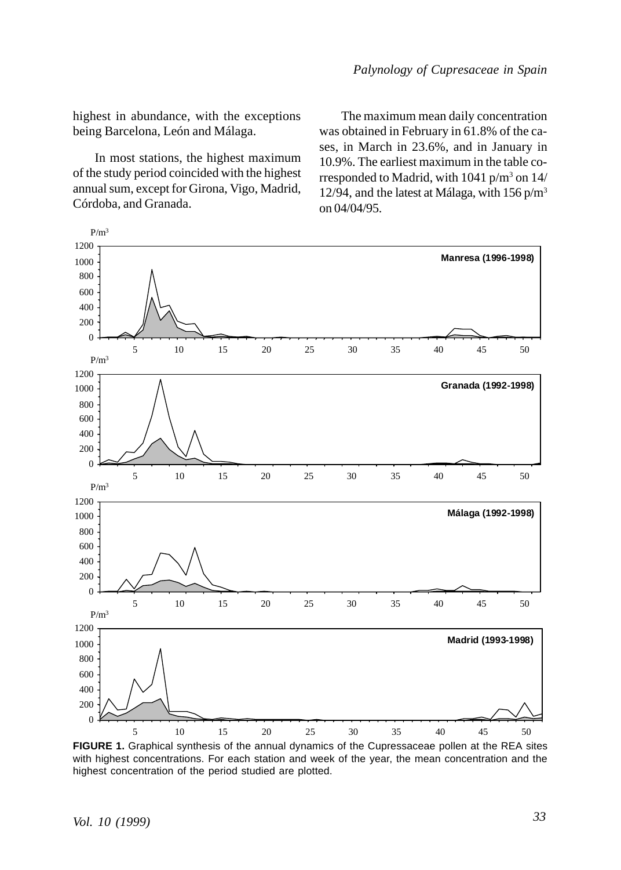highest in abundance, with the exceptions being Barcelona, León and Málaga.

In most stations, the highest maximum of the study period coincided with the highest annual sum, except for Girona, Vigo, Madrid, Córdoba, and Granada.

The maximum mean daily concentration was obtained in February in 61.8% of the cases, in March in 23.6%, and in January in 10.9%. The earliest maximum in the table corresponded to Madrid, with 1041 p/m<sup>3</sup> on 14/ 12/94, and the latest at Málaga, with  $156 \text{ p/m}^3$ on 04/04/95.



**FIGURE 1.** Graphical synthesis of the annual dynamics of the Cupressaceae pollen at the REA sites with highest concentrations. For each station and week of the year, the mean concentration and the highest concentration of the period studied are plotted.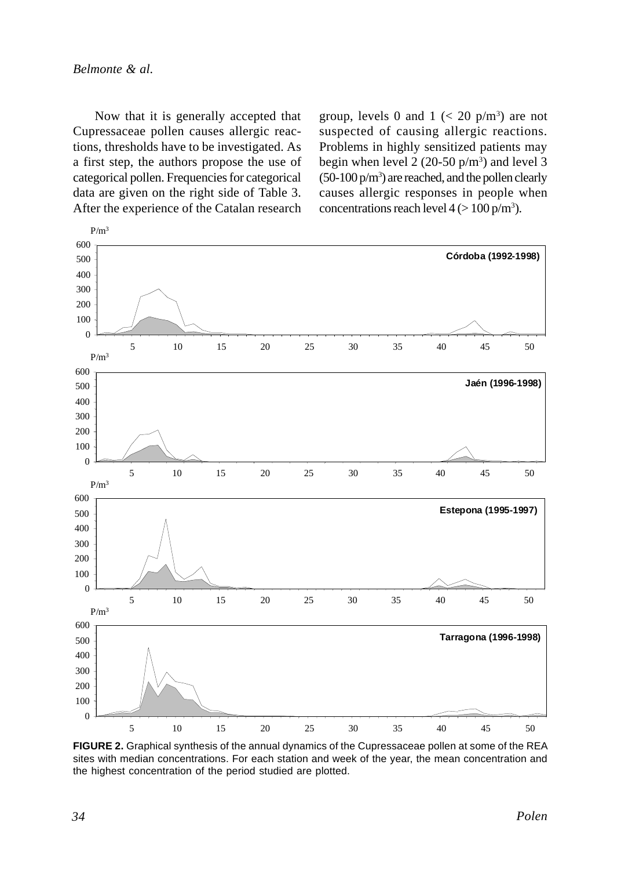Now that it is generally accepted that Cupressaceae pollen causes allergic reactions, thresholds have to be investigated. As a first step, the authors propose the use of categorical pollen. Frequencies for categorical data are given on the right side of Table 3. After the experience of the Catalan research

group, levels 0 and 1  $\left($  < 20 p/m<sup>3</sup> $\right)$  are not suspected of causing allergic reactions. Problems in highly sensitized patients may begin when level 2  $(20-50 \text{ p/m}^3)$  and level 3  $(50-100 \text{ p/m}^3)$  are reached, and the pollen clearly causes allergic responses in people when concentrations reach level  $4 (> 100 \text{ p/m}^3)$ .



**FIGURE 2.** Graphical synthesis of the annual dynamics of the Cupressaceae pollen at some of the REA sites with median concentrations. For each station and week of the year, the mean concentration and the highest concentration of the period studied are plotted.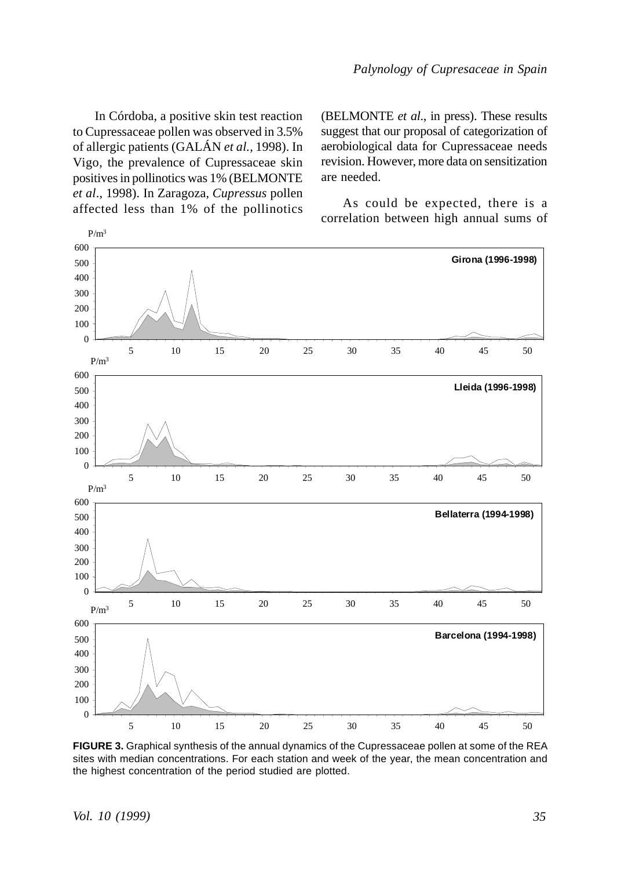In Córdoba, a positive skin test reaction to Cupressaceae pollen was observed in 3.5% of allergic patients (GALÁN *et al.,* 1998). In Vigo, the prevalence of Cupressaceae skin positives in pollinotics was 1% (BELMONTE *et al*., 1998). In Zaragoza, *Cupressus* pollen affected less than 1% of the pollinotics (BELMONTE *et al*., in press). These results suggest that our proposal of categorization of aerobiological data for Cupressaceae needs revision. However, more data on sensitization are needed.

As could be expected, there is a correlation between high annual sums of



**FIGURE 3.** Graphical synthesis of the annual dynamics of the Cupressaceae pollen at some of the REA sites with median concentrations. For each station and week of the year, the mean concentration and the highest concentration of the period studied are plotted.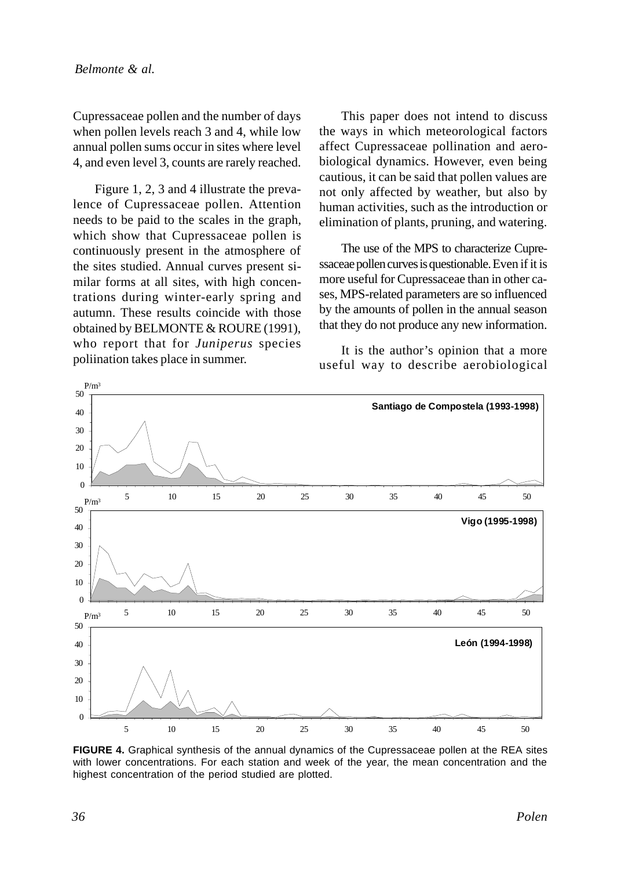Cupressaceae pollen and the number of days when pollen levels reach 3 and 4, while low annual pollen sums occur in sites where level 4, and even level 3, counts are rarely reached.

Figure 1, 2, 3 and 4 illustrate the prevalence of Cupressaceae pollen. Attention needs to be paid to the scales in the graph, which show that Cupressaceae pollen is continuously present in the atmosphere of the sites studied. Annual curves present similar forms at all sites, with high concentrations during winter-early spring and autumn. These results coincide with those obtained by BELMONTE & ROURE (1991), who report that for *Juniperus* species poliination takes place in summer.

This paper does not intend to discuss the ways in which meteorological factors affect Cupressaceae pollination and aerobiological dynamics. However, even being cautious, it can be said that pollen values are not only affected by weather, but also by human activities, such as the introduction or elimination of plants, pruning, and watering.

The use of the MPS to characterize Cupressaceae pollen curves is questionable. Even if it is more useful for Cupressaceae than in other cases, MPS-related parameters are so influenced by the amounts of pollen in the annual season that they do not produce any new information.

It is the author's opinion that a more useful way to describe aerobiological



**FIGURE 4.** Graphical synthesis of the annual dynamics of the Cupressaceae pollen at the REA sites with lower concentrations. For each station and week of the year, the mean concentration and the highest concentration of the period studied are plotted.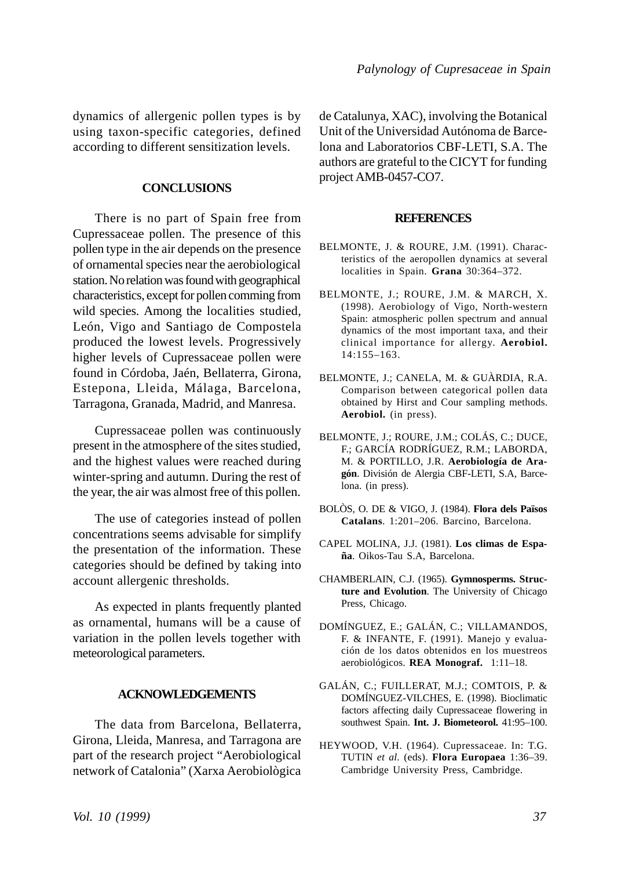dynamics of allergenic pollen types is by using taxon-specific categories, defined according to different sensitization levels.

## **CONCLUSIONS**

There is no part of Spain free from Cupressaceae pollen. The presence of this pollen type in the air depends on the presence of ornamental species near the aerobiological station. No relation was found with geographical characteristics, except for pollen comming from wild species. Among the localities studied, León, Vigo and Santiago de Compostela produced the lowest levels. Progressively higher levels of Cupressaceae pollen were found in Córdoba, Jaén, Bellaterra, Girona, Estepona, Lleida, Málaga, Barcelona, Tarragona, Granada, Madrid, and Manresa.

Cupressaceae pollen was continuously present in the atmosphere of the sites studied, and the highest values were reached during winter-spring and autumn. During the rest of the year, the air was almost free of this pollen.

The use of categories instead of pollen concentrations seems advisable for simplify the presentation of the information. These categories should be defined by taking into account allergenic thresholds.

As expected in plants frequently planted as ornamental, humans will be a cause of variation in the pollen levels together with meteorological parameters.

## **ACKNOWLEDGEMENTS**

The data from Barcelona, Bellaterra, Girona, Lleida, Manresa, and Tarragona are part of the research project "Aerobiological network of Catalonia" (Xarxa Aerobiològica de Catalunya, XAC), involving the Botanical Unit of the Universidad Autónoma de Barcelona and Laboratorios CBF-LETI, S.A. The authors are grateful to the CICYT for funding project AMB-0457-CO7.

#### **REFERENCES**

- BELMONTE, J. & ROURE, J.M. (1991). Characteristics of the aeropollen dynamics at several localities in Spain. **Grana** 30:364–372.
- BELMONTE, J.; ROURE, J.M. & MARCH, X. (1998). Aerobiology of Vigo, North-western Spain: atmospheric pollen spectrum and annual dynamics of the most important taxa, and their clinical importance for allergy. **Aerobiol.** 14:155–163.
- BELMONTE, J.; CANELA, M. & GUÀRDIA, R.A. Comparison between categorical pollen data obtained by Hirst and Cour sampling methods. **Aerobiol.** (in press).
- BELMONTE, J.; ROURE, J.M.; COLÁS, C.; DUCE, F.; GARCÍA RODRÍGUEZ, R.M.; LABORDA, M. & PORTILLO, J.R. **Aerobiología de Aragón**. División de Alergia CBF-LETI, S.A, Barcelona. (in press).
- BOLÒS, O. DE & VIGO, J. (1984). **Flora dels Països Catalans**. 1:201–206. Barcino, Barcelona.
- CAPEL MOLINA, J.J. (1981). **Los climas de España**. Oikos-Tau S.A, Barcelona.
- CHAMBERLAIN, C.J. (1965). **Gymnosperms. Structure and Evolution**. The University of Chicago Press, Chicago.
- DOMÍNGUEZ, E.; GALÁN, C.; VILLAMANDOS, F. & INFANTE, F. (1991). Manejo y evaluación de los datos obtenidos en los muestreos aerobiológicos. **REA Monograf.** 1:11–18.
- GALÁN, C.; FUILLERAT, M.J.; COMTOIS, P. & DOMÍNGUEZ-VILCHES, E. (1998). Bioclimatic factors affecting daily Cupressaceae flowering in southwest Spain. **Int. J. Biometeorol.** 41:95–100.
- HEYWOOD, V.H. (1964). Cupressaceae. In: T.G. TUTIN *et al.* (eds). **Flora Europaea** 1:36–39. Cambridge University Press, Cambridge.